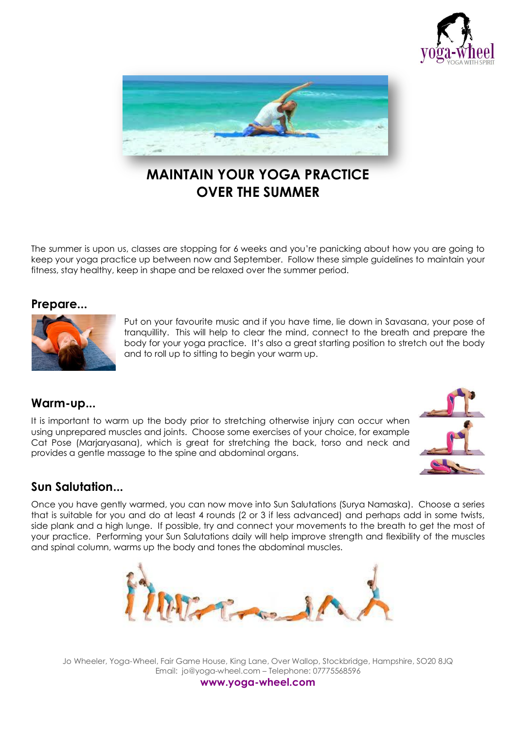



# **MAINTAIN YOUR YOGA PRACTICE OVER THE SUMMER**

The summer is upon us, classes are stopping for 6 weeks and you're panicking about how you are going to keep your yoga practice up between now and September. Follow these simple guidelines to maintain your fitness, stay healthy, keep in shape and be relaxed over the summer period.

#### **Prepare...**



Put on your favourite music and if you have time, lie down in Savasana, your pose of tranquillity. This will help to clear the mind, connect to the breath and prepare the body for your yoga practice. It's also a great starting position to stretch out the body and to roll up to sitting to begin your warm up.

#### **Warm-up...**

It is important to warm up the body prior to stretching otherwise injury can occur when using unprepared muscles and joints. Choose some exercises of your choice, for example Cat Pose (Marjaryasana), which is great for stretching the back, torso and neck and provides a gentle massage to the spine and abdominal organs.



### **Sun Salutation...**

Once you have gently warmed, you can now move into Sun Salutations (Surya Namaska). Choose a series that is suitable for you and do at least 4 rounds (2 or 3 if less advanced) and perhaps add in some twists, side plank and a high lunge. If possible, try and connect your movements to the breath to get the most of your practice. Performing your Sun Salutations daily will help improve strength and flexibility of the muscles and spinal column, warms up the body and tones the abdominal muscles.



Jo Wheeler, Yoga-Wheel, Fair Game House, King Lane, Over Wallop, Stockbridge, Hampshire, SO20 8JQ Email: jo@yoga-wheel.com – Telephone: 07775568596

**www.yoga-wheel.com**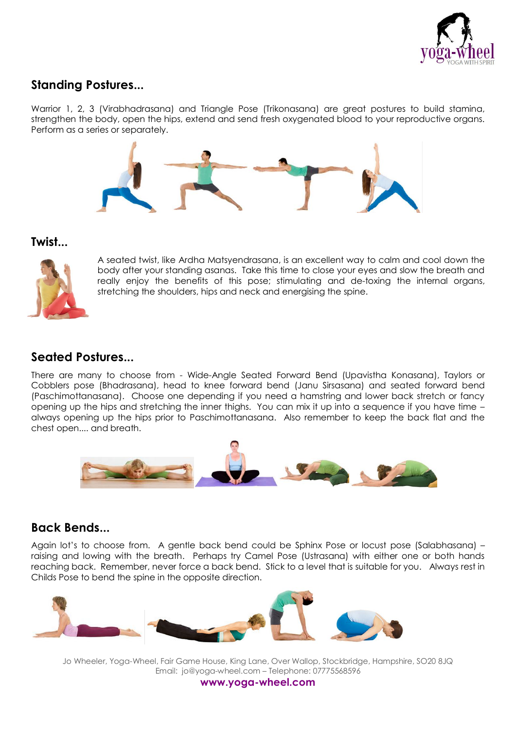

## **Standing Postures...**

Warrior 1, 2, 3 (Virabhadrasana) and Triangle Pose (Trikonasana) are great postures to build stamina, strengthen the body, open the hips, extend and send fresh oxygenated blood to your reproductive organs. Perform as a series or separately.



#### **Twist...**



A seated twist, like Ardha Matsyendrasana, is an excellent way to calm and cool down the body after your standing asanas. Take this time to close your eyes and slow the breath and really enjoy the benefits of this pose; stimulating and de-toxing the internal organs, stretching the shoulders, hips and neck and energising the spine.

### **Seated Postures...**

There are many to choose from - Wide-Angle Seated Forward Bend (Upavistha Konasana), Taylors or Cobblers pose (Bhadrasana), head to knee forward bend (Janu Sirsasana) and seated forward bend (Paschimottanasana). Choose one depending if you need a hamstring and lower back stretch or fancy opening up the hips and stretching the inner thighs. You can mix it up into a sequence if you have time – always opening up the hips prior to Paschimottanasana. Also remember to keep the back flat and the chest open.... and breath.



### **Back Bends...**

Again lot's to choose from. A gentle back bend could be Sphinx Pose or locust pose (Salabhasana) – raising and lowing with the breath. Perhaps try Camel Pose (Ustrasana) with either one or both hands reaching back. Remember, never force a back bend. Stick to a level that is suitable for you. Always rest in Childs Pose to bend the spine in the opposite direction.



Jo Wheeler, Yoga-Wheel, Fair Game House, King Lane, Over Wallop, Stockbridge, Hampshire, SO20 8JQ Email: jo@yoga-wheel.com – Telephone: 07775568596

**www.yoga-wheel.com**